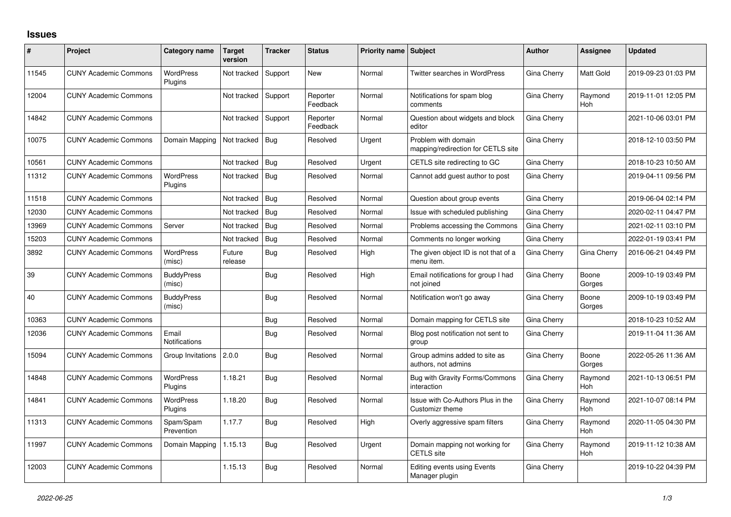## **Issues**

| ∦     | Project                      | Category name                 | <b>Target</b><br>version | <b>Tracker</b> | <b>Status</b>        | <b>Priority name Subject</b> |                                                           | <b>Author</b> | Assignee        | <b>Updated</b>      |
|-------|------------------------------|-------------------------------|--------------------------|----------------|----------------------|------------------------------|-----------------------------------------------------------|---------------|-----------------|---------------------|
| 11545 | <b>CUNY Academic Commons</b> | <b>WordPress</b><br>Plugins   | Not tracked              | Support        | <b>New</b>           | Normal                       | Twitter searches in WordPress                             | Gina Cherry   | Matt Gold       | 2019-09-23 01:03 PM |
| 12004 | <b>CUNY Academic Commons</b> |                               | Not tracked              | Support        | Reporter<br>Feedback | Normal                       | Notifications for spam blog<br>comments                   | Gina Cherry   | Raymond<br>Hoh  | 2019-11-01 12:05 PM |
| 14842 | <b>CUNY Academic Commons</b> |                               | Not tracked              | Support        | Reporter<br>Feedback | Normal                       | Question about widgets and block<br>editor                | Gina Cherry   |                 | 2021-10-06 03:01 PM |
| 10075 | <b>CUNY Academic Commons</b> | Domain Mapping                | Not tracked              | Bug            | Resolved             | Urgent                       | Problem with domain<br>mapping/redirection for CETLS site | Gina Cherry   |                 | 2018-12-10 03:50 PM |
| 10561 | <b>CUNY Academic Commons</b> |                               | Not tracked              | Bug            | Resolved             | Urgent                       | CETLS site redirecting to GC                              | Gina Cherry   |                 | 2018-10-23 10:50 AM |
| 11312 | <b>CUNY Academic Commons</b> | <b>WordPress</b><br>Plugins   | Not tracked              | Bug            | Resolved             | Normal                       | Cannot add guest author to post                           | Gina Cherry   |                 | 2019-04-11 09:56 PM |
| 11518 | <b>CUNY Academic Commons</b> |                               | Not tracked              | Bug            | Resolved             | Normal                       | Question about group events                               | Gina Cherry   |                 | 2019-06-04 02:14 PM |
| 12030 | <b>CUNY Academic Commons</b> |                               | Not tracked              | Bug            | Resolved             | Normal                       | Issue with scheduled publishing                           | Gina Cherry   |                 | 2020-02-11 04:47 PM |
| 13969 | <b>CUNY Academic Commons</b> | Server                        | Not tracked              | Bug            | Resolved             | Normal                       | Problems accessing the Commons                            | Gina Cherry   |                 | 2021-02-11 03:10 PM |
| 15203 | <b>CUNY Academic Commons</b> |                               | Not tracked              | Bug            | Resolved             | Normal                       | Comments no longer working                                | Gina Cherry   |                 | 2022-01-19 03:41 PM |
| 3892  | <b>CUNY Academic Commons</b> | <b>WordPress</b><br>(misc)    | Future<br>release        | <b>Bug</b>     | Resolved             | High                         | The given object ID is not that of a<br>menu item.        | Gina Cherry   | Gina Cherry     | 2016-06-21 04:49 PM |
| 39    | <b>CUNY Academic Commons</b> | <b>BuddyPress</b><br>(misc)   |                          | Bug            | Resolved             | High                         | Email notifications for group I had<br>not joined         | Gina Cherry   | Boone<br>Gorges | 2009-10-19 03:49 PM |
| 40    | <b>CUNY Academic Commons</b> | <b>BuddyPress</b><br>(misc)   |                          | Bug            | Resolved             | Normal                       | Notification won't go away                                | Gina Cherry   | Boone<br>Gorges | 2009-10-19 03:49 PM |
| 10363 | <b>CUNY Academic Commons</b> |                               |                          | Bug            | Resolved             | Normal                       | Domain mapping for CETLS site                             | Gina Cherry   |                 | 2018-10-23 10:52 AM |
| 12036 | <b>CUNY Academic Commons</b> | Email<br><b>Notifications</b> |                          | Bug            | Resolved             | Normal                       | Blog post notification not sent to<br>group               | Gina Cherry   |                 | 2019-11-04 11:36 AM |
| 15094 | <b>CUNY Academic Commons</b> | Group Invitations             | 2.0.0                    | Bug            | Resolved             | Normal                       | Group admins added to site as<br>authors, not admins      | Gina Cherry   | Boone<br>Gorges | 2022-05-26 11:36 AM |
| 14848 | <b>CUNY Academic Commons</b> | <b>WordPress</b><br>Plugins   | 1.18.21                  | Bug            | Resolved             | Normal                       | Bug with Gravity Forms/Commons<br>interaction             | Gina Cherry   | Raymond<br>Hoh  | 2021-10-13 06:51 PM |
| 14841 | <b>CUNY Academic Commons</b> | WordPress<br>Plugins          | 1.18.20                  | Bug            | Resolved             | Normal                       | Issue with Co-Authors Plus in the<br>Customizr theme      | Gina Cherry   | Raymond<br>Hoh  | 2021-10-07 08:14 PM |
| 11313 | <b>CUNY Academic Commons</b> | Spam/Spam<br>Prevention       | 1.17.7                   | Bug            | Resolved             | High                         | Overly aggressive spam filters                            | Gina Cherry   | Raymond<br>Hoh  | 2020-11-05 04:30 PM |
| 11997 | <b>CUNY Academic Commons</b> | Domain Mapping                | 1.15.13                  | Bug            | Resolved             | Urgent                       | Domain mapping not working for<br><b>CETLS</b> site       | Gina Cherry   | Raymond<br>Hoh  | 2019-11-12 10:38 AM |
| 12003 | <b>CUNY Academic Commons</b> |                               | 1.15.13                  | Bug            | Resolved             | Normal                       | <b>Editing events using Events</b><br>Manager plugin      | Gina Cherry   |                 | 2019-10-22 04:39 PM |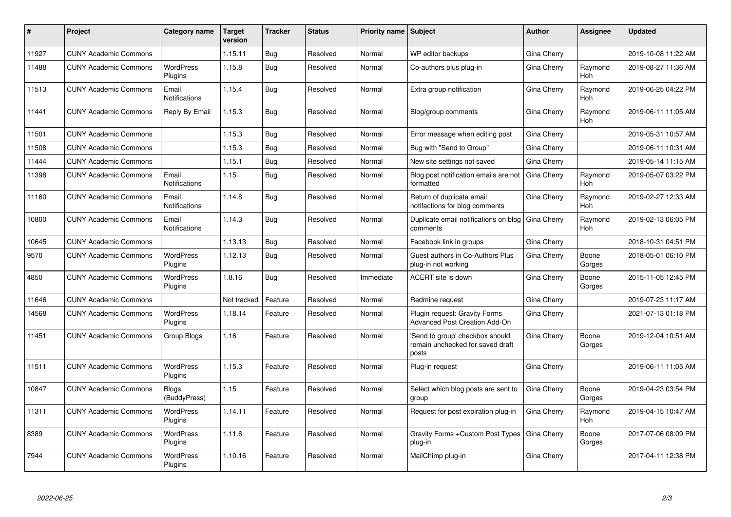| #     | <b>Project</b>               | Category name                 | <b>Target</b><br>version | <b>Tracker</b> | <b>Status</b> | <b>Priority name   Subject</b> |                                                                              | <b>Author</b> | Assignee        | <b>Updated</b>      |
|-------|------------------------------|-------------------------------|--------------------------|----------------|---------------|--------------------------------|------------------------------------------------------------------------------|---------------|-----------------|---------------------|
| 11927 | <b>CUNY Academic Commons</b> |                               | 1.15.11                  | <b>Bug</b>     | Resolved      | Normal                         | WP editor backups                                                            | Gina Cherry   |                 | 2019-10-08 11:22 AM |
| 11488 | <b>CUNY Academic Commons</b> | <b>WordPress</b><br>Plugins   | 1.15.8                   | Bug            | Resolved      | Normal                         | Co-authors plus plug-in                                                      | Gina Cherry   | Raymond<br>Hoh  | 2019-08-27 11:36 AM |
| 11513 | <b>CUNY Academic Commons</b> | Email<br><b>Notifications</b> | 1.15.4                   | Bug            | Resolved      | Normal                         | Extra group notification                                                     | Gina Cherry   | Raymond<br>Hoh  | 2019-06-25 04:22 PM |
| 11441 | <b>CUNY Academic Commons</b> | Reply By Email                | 1.15.3                   | Bug            | Resolved      | Normal                         | Blog/group comments                                                          | Gina Cherry   | Raymond<br>Hoh  | 2019-06-11 11:05 AM |
| 11501 | <b>CUNY Academic Commons</b> |                               | 1.15.3                   | <b>Bug</b>     | Resolved      | Normal                         | Error message when editing post                                              | Gina Cherry   |                 | 2019-05-31 10:57 AM |
| 11508 | <b>CUNY Academic Commons</b> |                               | 1.15.3                   | Bug            | Resolved      | Normal                         | Bug with "Send to Group"                                                     | Gina Cherry   |                 | 2019-06-11 10:31 AM |
| 11444 | <b>CUNY Academic Commons</b> |                               | 1.15.1                   | Bug            | Resolved      | Normal                         | New site settings not saved                                                  | Gina Cherry   |                 | 2019-05-14 11:15 AM |
| 11398 | <b>CUNY Academic Commons</b> | Email<br>Notifications        | 1.15                     | Bug            | Resolved      | Normal                         | Blog post notification emails are not<br>formatted                           | Gina Cherry   | Raymond<br>Hoh  | 2019-05-07 03:22 PM |
| 11160 | <b>CUNY Academic Commons</b> | Email<br><b>Notifications</b> | 1.14.8                   | Bug            | Resolved      | Normal                         | Return of duplicate email<br>notifactions for blog comments                  | Gina Cherry   | Raymond<br>Hoh  | 2019-02-27 12:33 AM |
| 10800 | <b>CUNY Academic Commons</b> | Email<br>Notifications        | 1.14.3                   | Bug            | Resolved      | Normal                         | Duplicate email notifications on blog<br>comments                            | Gina Cherry   | Raymond<br>Hoh  | 2019-02-13 06:05 PM |
| 10645 | <b>CUNY Academic Commons</b> |                               | 1.13.13                  | <b>Bug</b>     | Resolved      | Normal                         | Facebook link in groups                                                      | Gina Cherry   |                 | 2018-10-31 04:51 PM |
| 9570  | <b>CUNY Academic Commons</b> | <b>WordPress</b><br>Plugins   | 1.12.13                  | Bug            | Resolved      | Normal                         | Guest authors in Co-Authors Plus<br>plug-in not working                      | Gina Cherry   | Boone<br>Gorges | 2018-05-01 06:10 PM |
| 4850  | <b>CUNY Academic Commons</b> | <b>WordPress</b><br>Plugins   | 1.8.16                   | Bug            | Resolved      | Immediate                      | ACERT site is down                                                           | Gina Cherry   | Boone<br>Gorges | 2015-11-05 12:45 PM |
| 11646 | <b>CUNY Academic Commons</b> |                               | Not tracked              | Feature        | Resolved      | Normal                         | Redmine request                                                              | Gina Cherry   |                 | 2019-07-23 11:17 AM |
| 14568 | <b>CUNY Academic Commons</b> | <b>WordPress</b><br>Plugins   | 1.18.14                  | Feature        | Resolved      | Normal                         | Plugin request: Gravity Forms<br><b>Advanced Post Creation Add-On</b>        | Gina Cherry   |                 | 2021-07-13 01:18 PM |
| 11451 | <b>CUNY Academic Commons</b> | Group Blogs                   | 1.16                     | Feature        | Resolved      | Normal                         | 'Send to group' checkbox should<br>remain unchecked for saved draft<br>posts | Gina Cherry   | Boone<br>Gorges | 2019-12-04 10:51 AM |
| 11511 | <b>CUNY Academic Commons</b> | <b>WordPress</b><br>Plugins   | 1.15.3                   | Feature        | Resolved      | Normal                         | Plug-in request                                                              | Gina Cherry   |                 | 2019-06-11 11:05 AM |
| 10847 | <b>CUNY Academic Commons</b> | <b>Blogs</b><br>(BuddyPress)  | 1.15                     | Feature        | Resolved      | Normal                         | Select which blog posts are sent to<br>group                                 | Gina Cherry   | Boone<br>Gorges | 2019-04-23 03:54 PM |
| 11311 | <b>CUNY Academic Commons</b> | <b>WordPress</b><br>Plugins   | 1.14.11                  | Feature        | Resolved      | Normal                         | Request for post expiration plug-in                                          | Gina Cherry   | Raymond<br>Hoh  | 2019-04-15 10:47 AM |
| 8389  | <b>CUNY Academic Commons</b> | <b>WordPress</b><br>Plugins   | 1.11.6                   | Feature        | Resolved      | Normal                         | Gravity Forms + Custom Post Types<br>plug-in                                 | Gina Cherry   | Boone<br>Gorges | 2017-07-06 08:09 PM |
| 7944  | <b>CUNY Academic Commons</b> | <b>WordPress</b><br>Plugins   | 1.10.16                  | Feature        | Resolved      | Normal                         | MailChimp plug-in                                                            | Gina Cherry   |                 | 2017-04-11 12:38 PM |